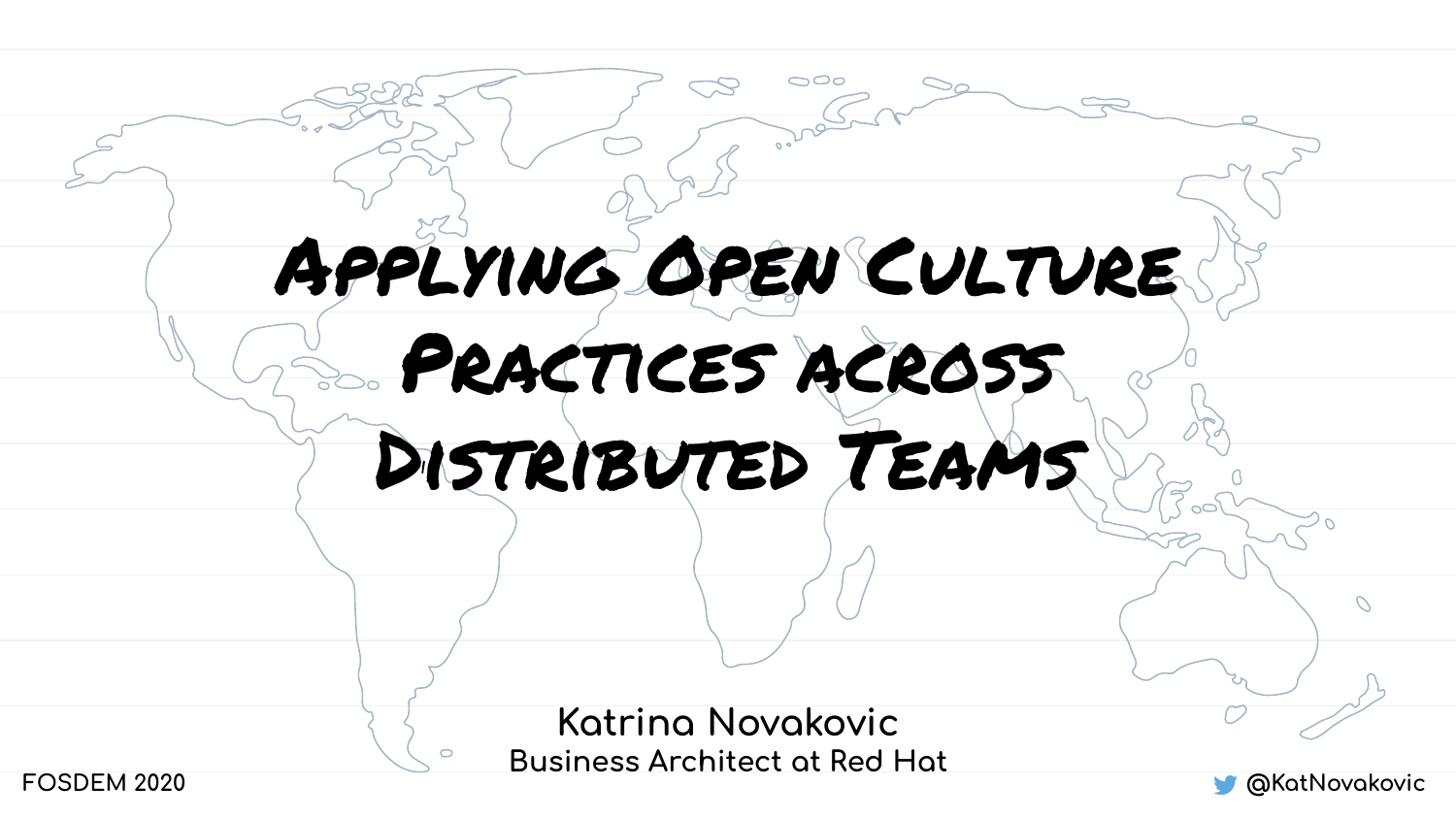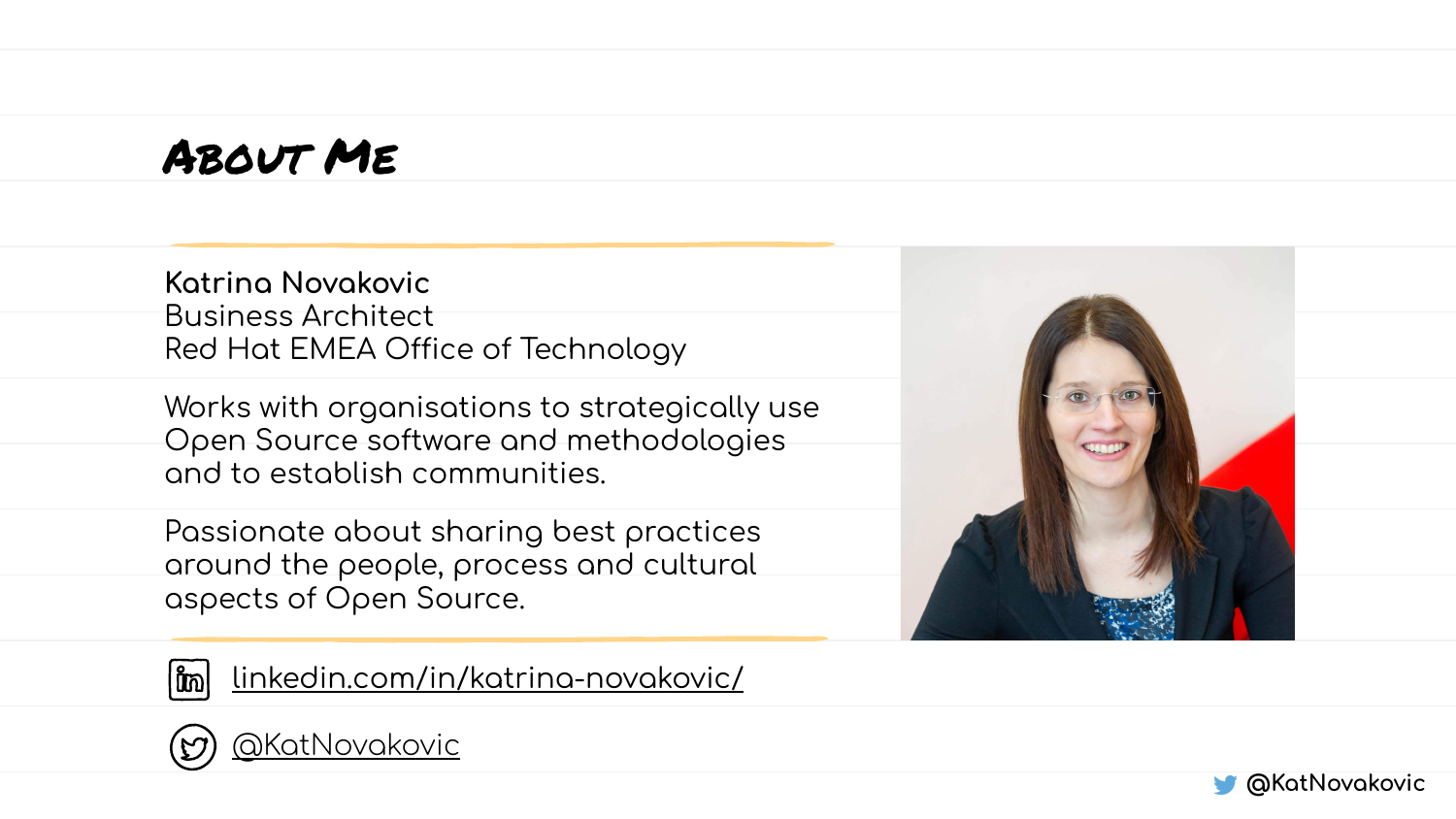#### ABOUT ME

Katrina Novakovic **Business Architect** Red Hat EMEA Office of Technology

Works with organisations to strategically use Open Source software and methodologies and to establish communities.

Passionate about sharing best practices around the people, process and cultural aspects of Open Source.





linkedin.com/in/katrina-novakovic/



**@KatNovakovic** 

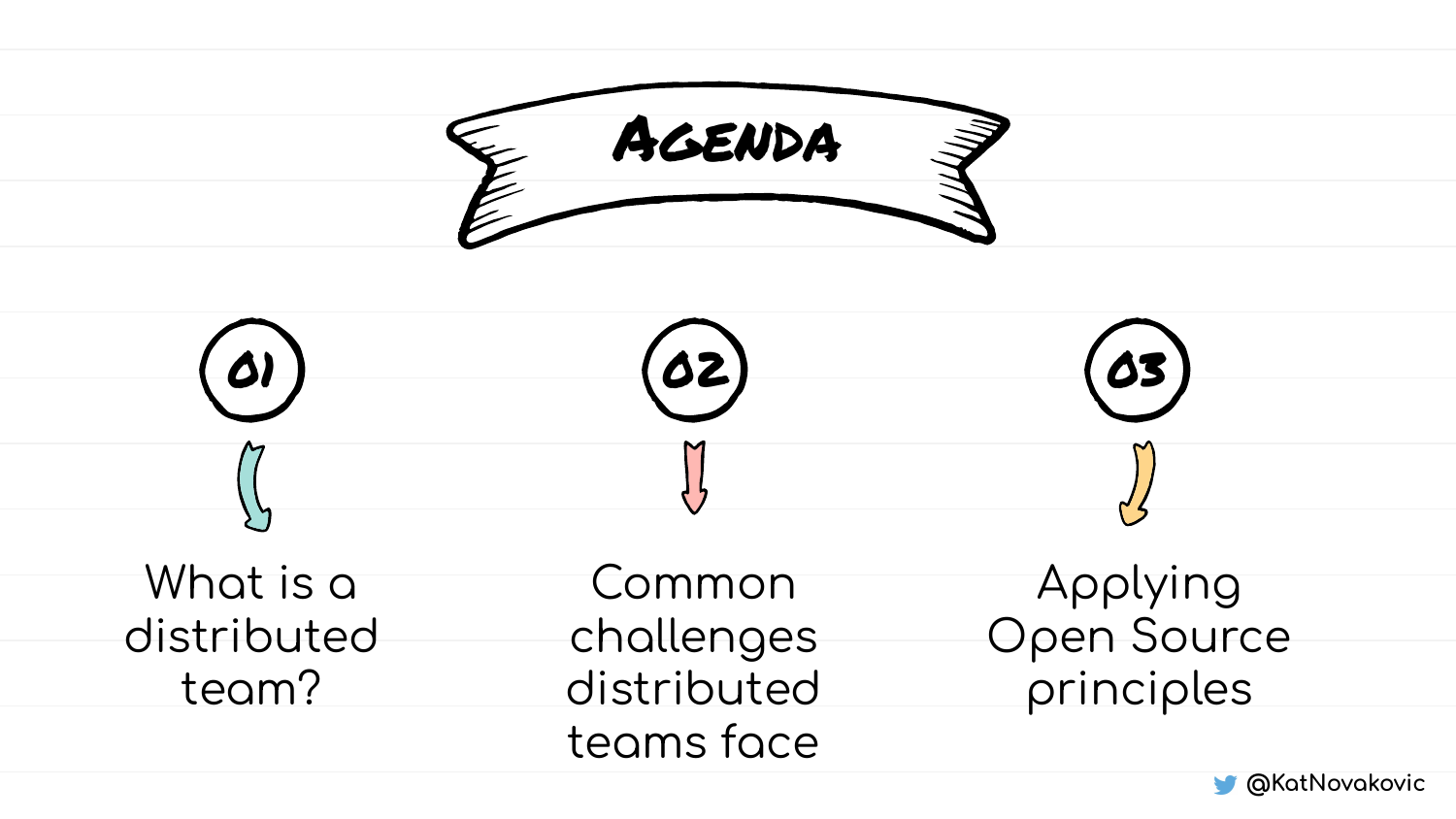

**M** @KatNovakovic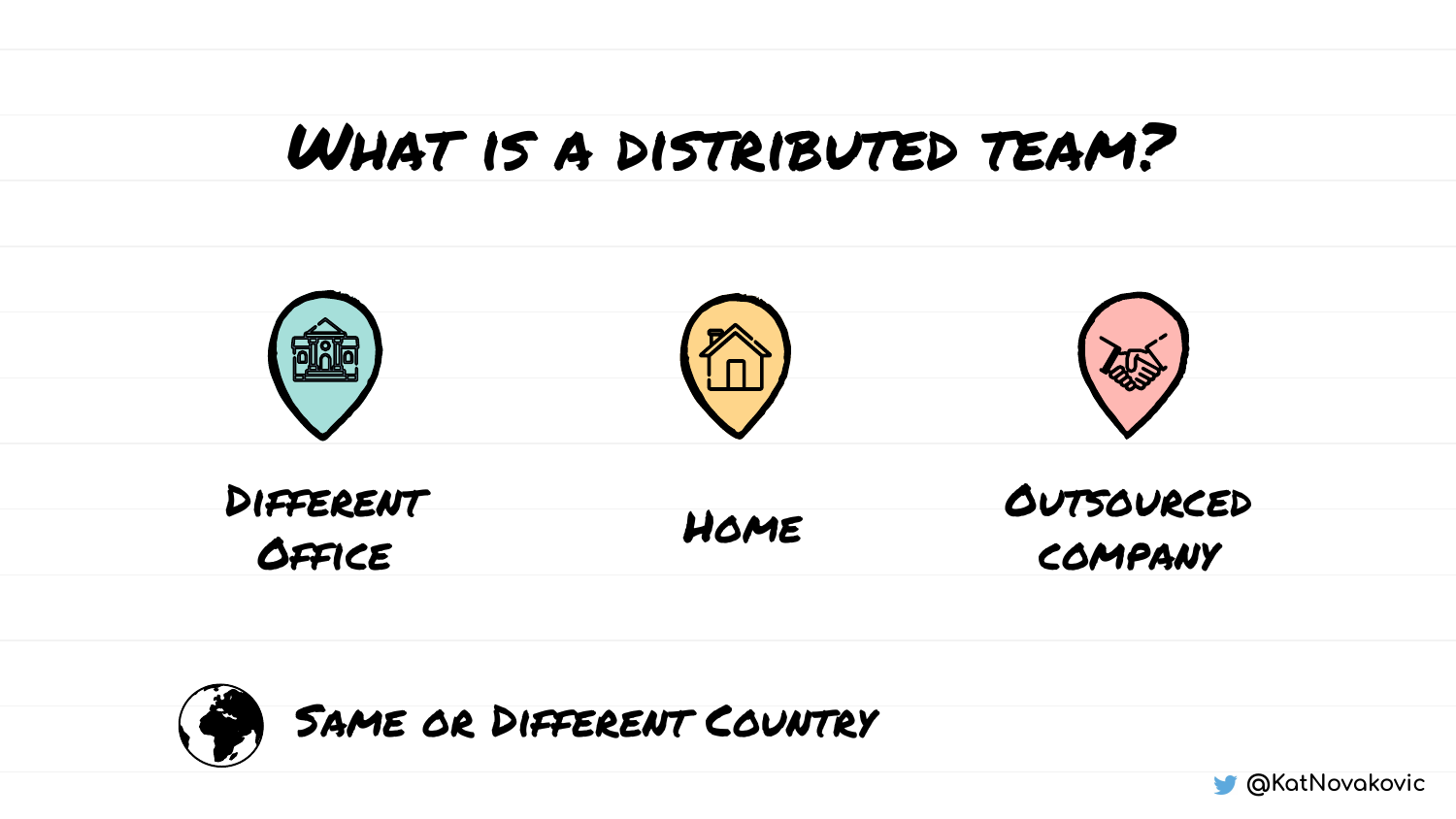#### What is a distributed team?





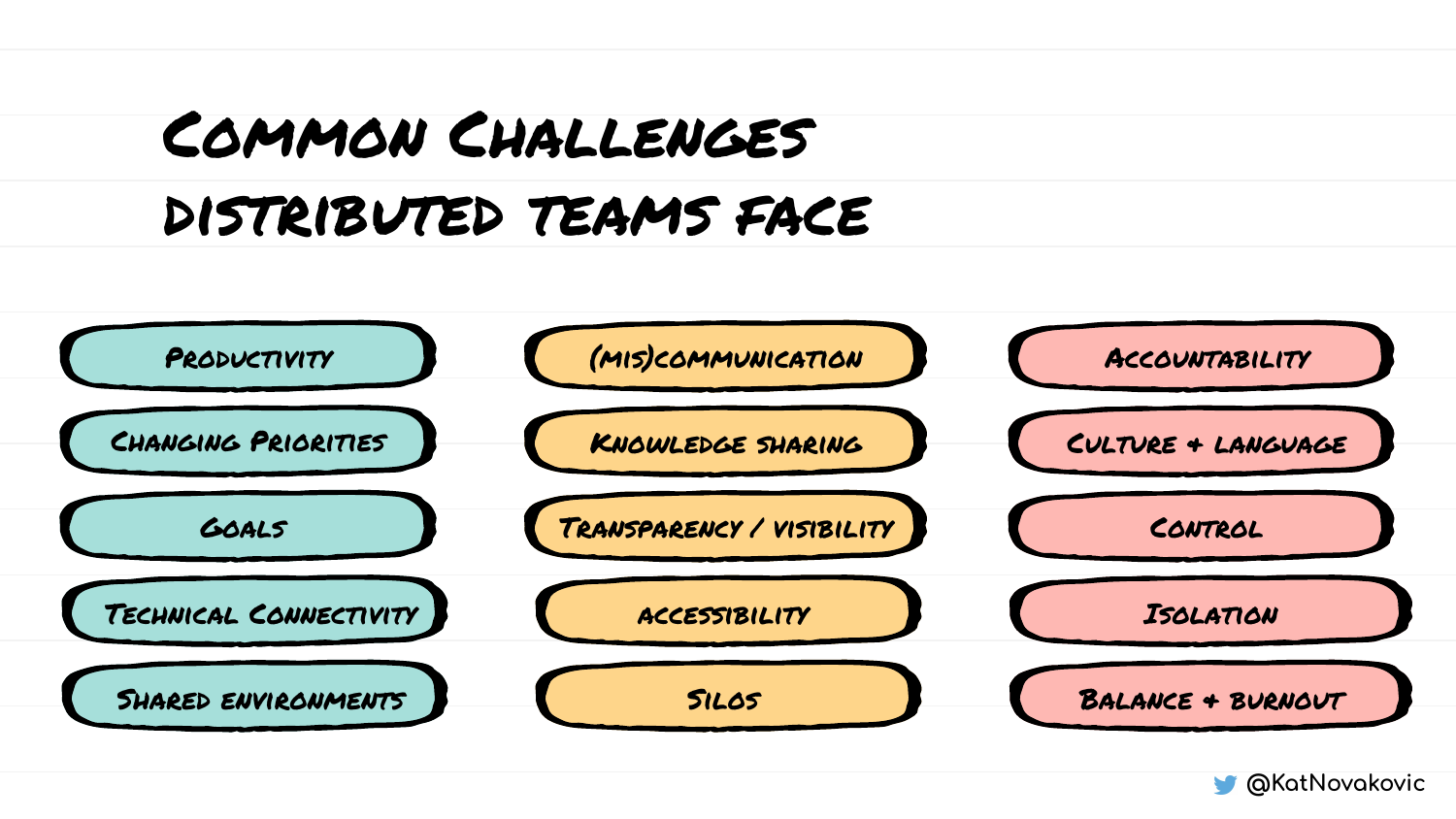## Common Challenges distributed teams face



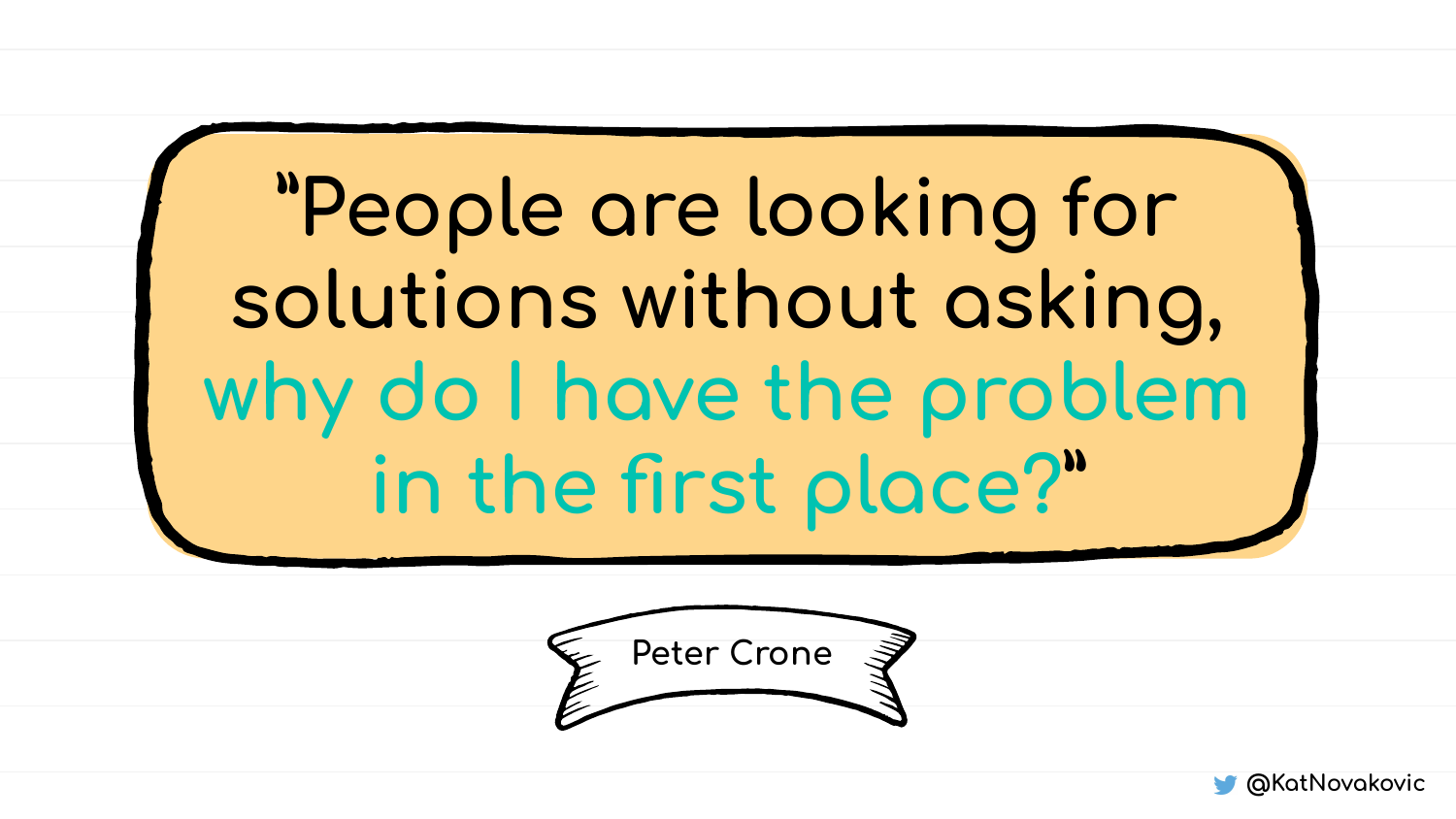**"People are looking for** solutions without asking, **why do I have the problem in the first place?"**



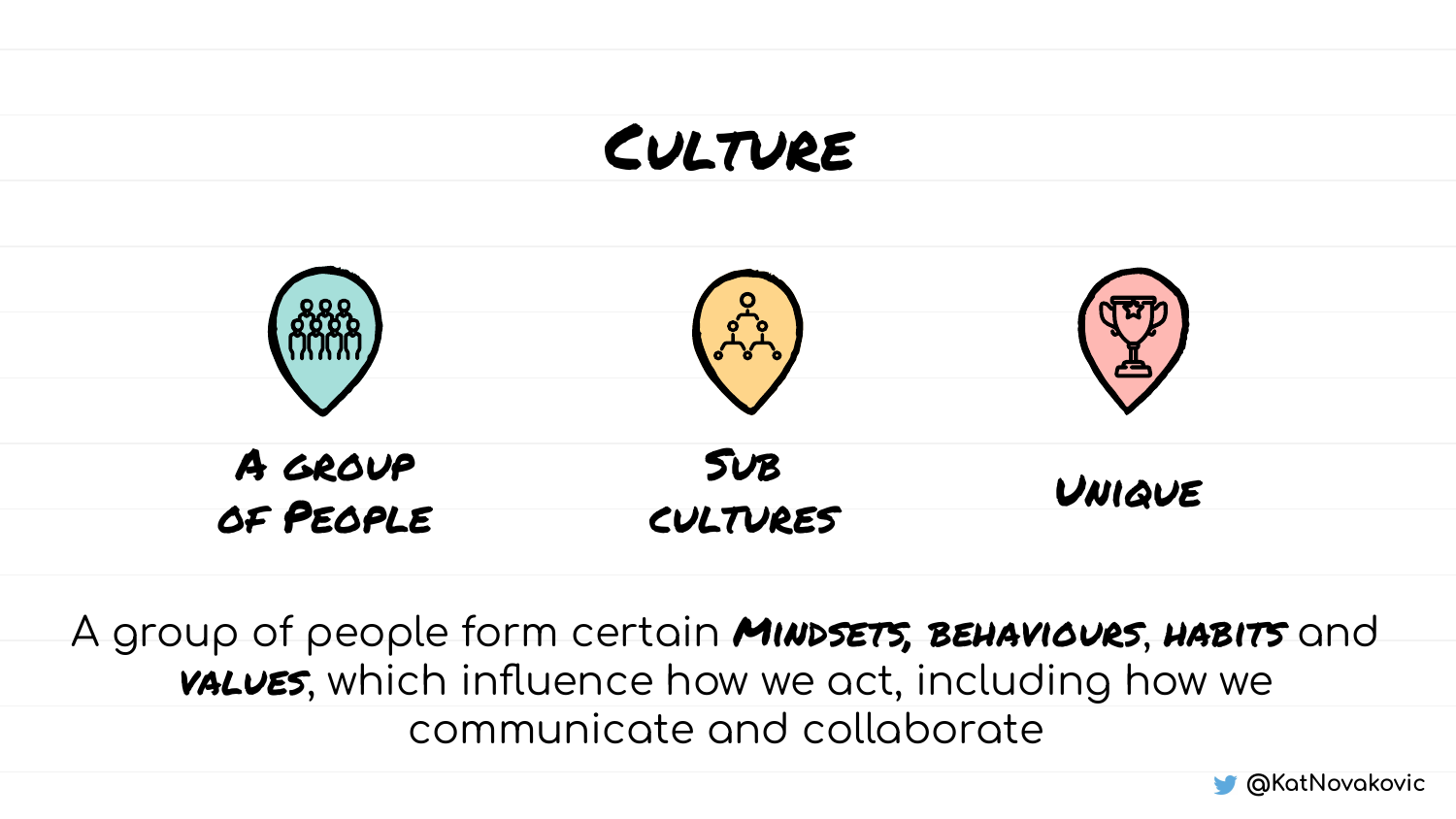#### CULTURE



A group of people form certain *MINDSETS*, BEHAVIOURS, HABITS and **VALUES**, which influence how we act, including how we communicate and collaborate

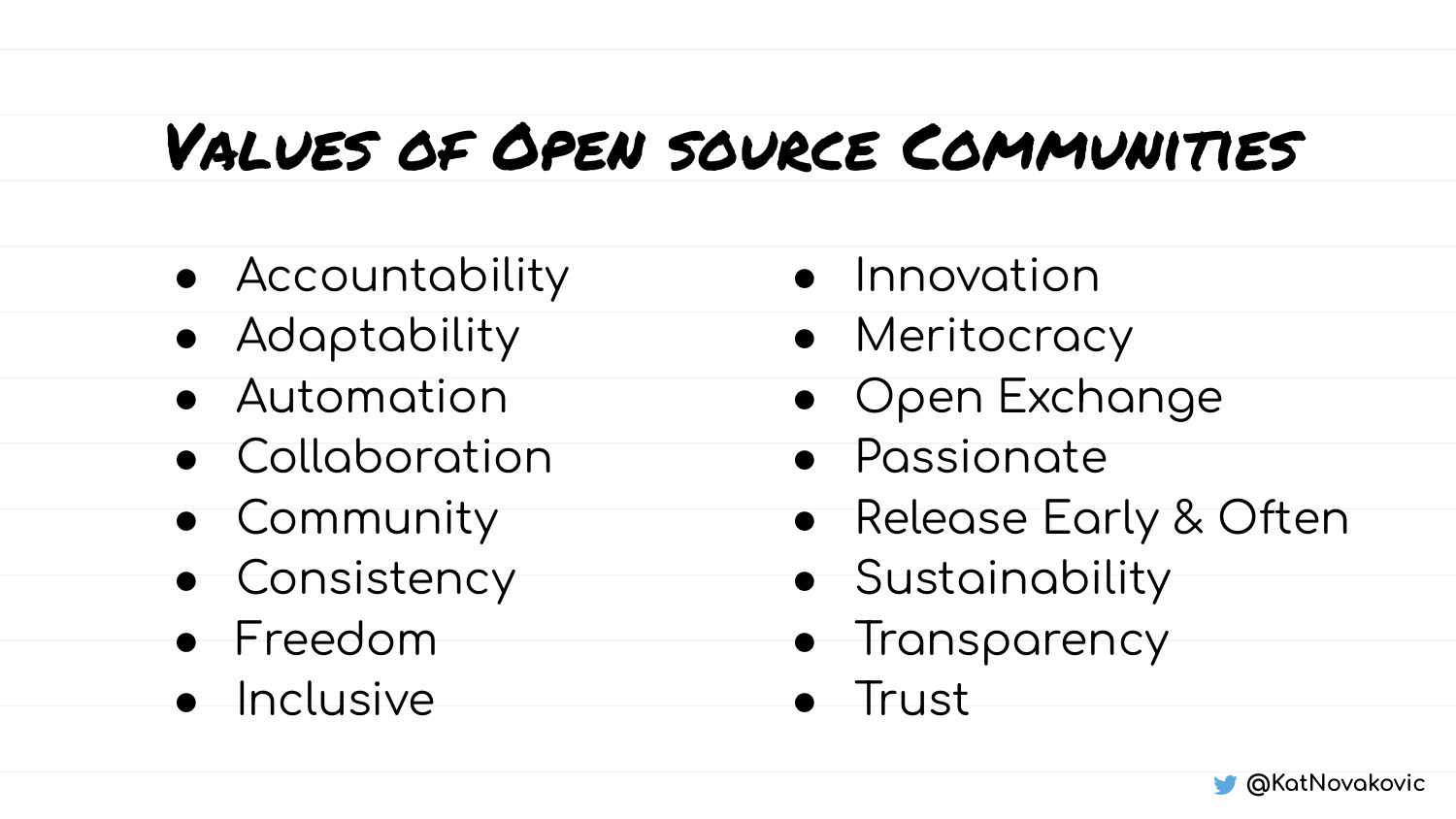### Values of Open source Communities

- Accountability
- Adaptability
- Automation
- Collaboration
- **•** Community
- Consistency
- Freedom
- Inclusive
- Innovation
- Meritocracy
- Open Exchange
- Passionate
- Release Early & Often
- Sustainability
- Transparency
- Trust

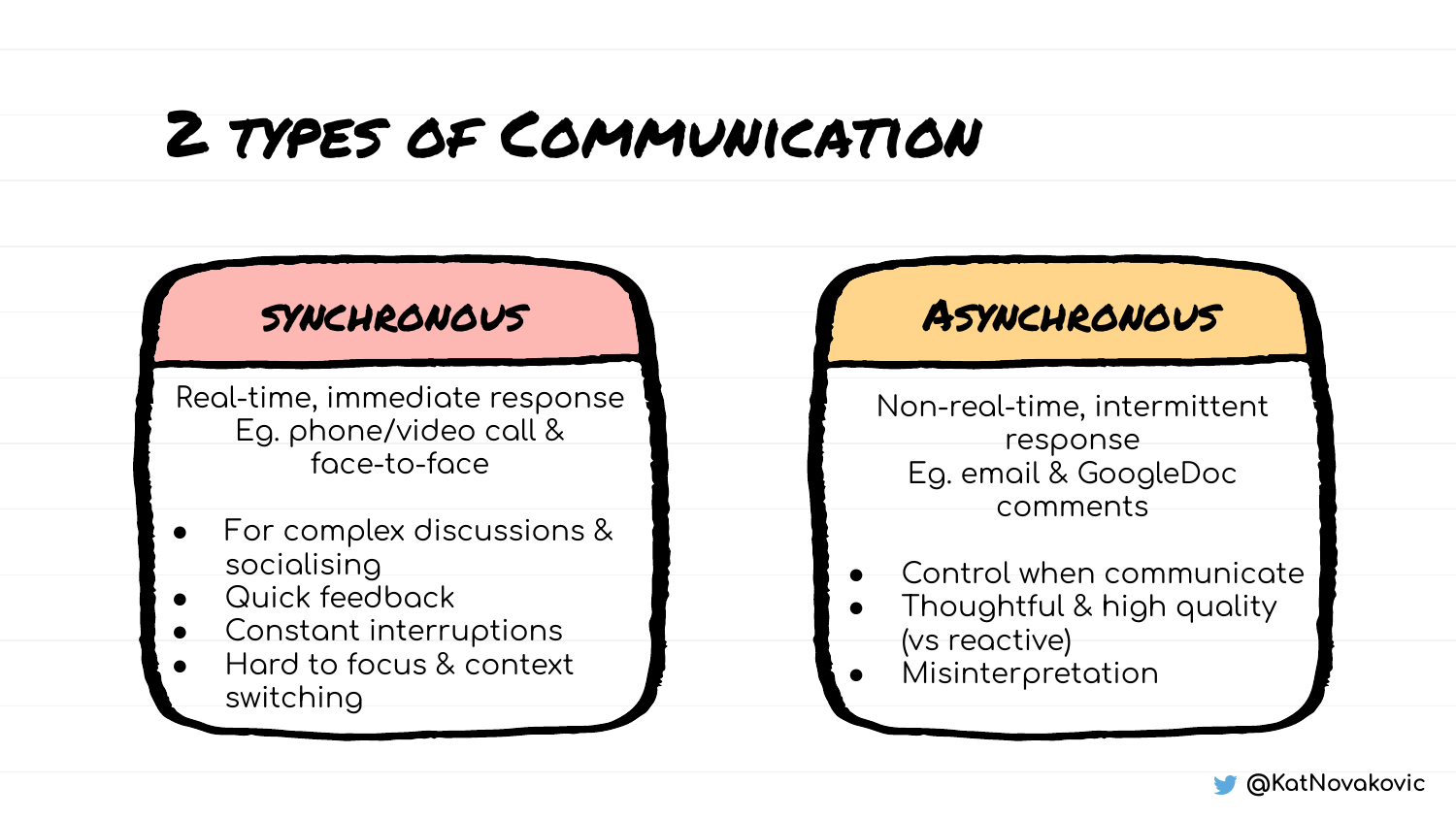#### 2 types of Communication



Real-time, immediate response Eq. phone/video call & ÿace-to-ÿace

- For complex discussions & socialising
- Quick feedback
- Constant interruptions
- Hard to focus & context switching

#### synchronous Asynchronous

Non-real-time, intermittent response Eq. email & GoogleDoc comments

- Control when communicate
- Thoughtful & high quality (vs reactive)
- Misinterpretation

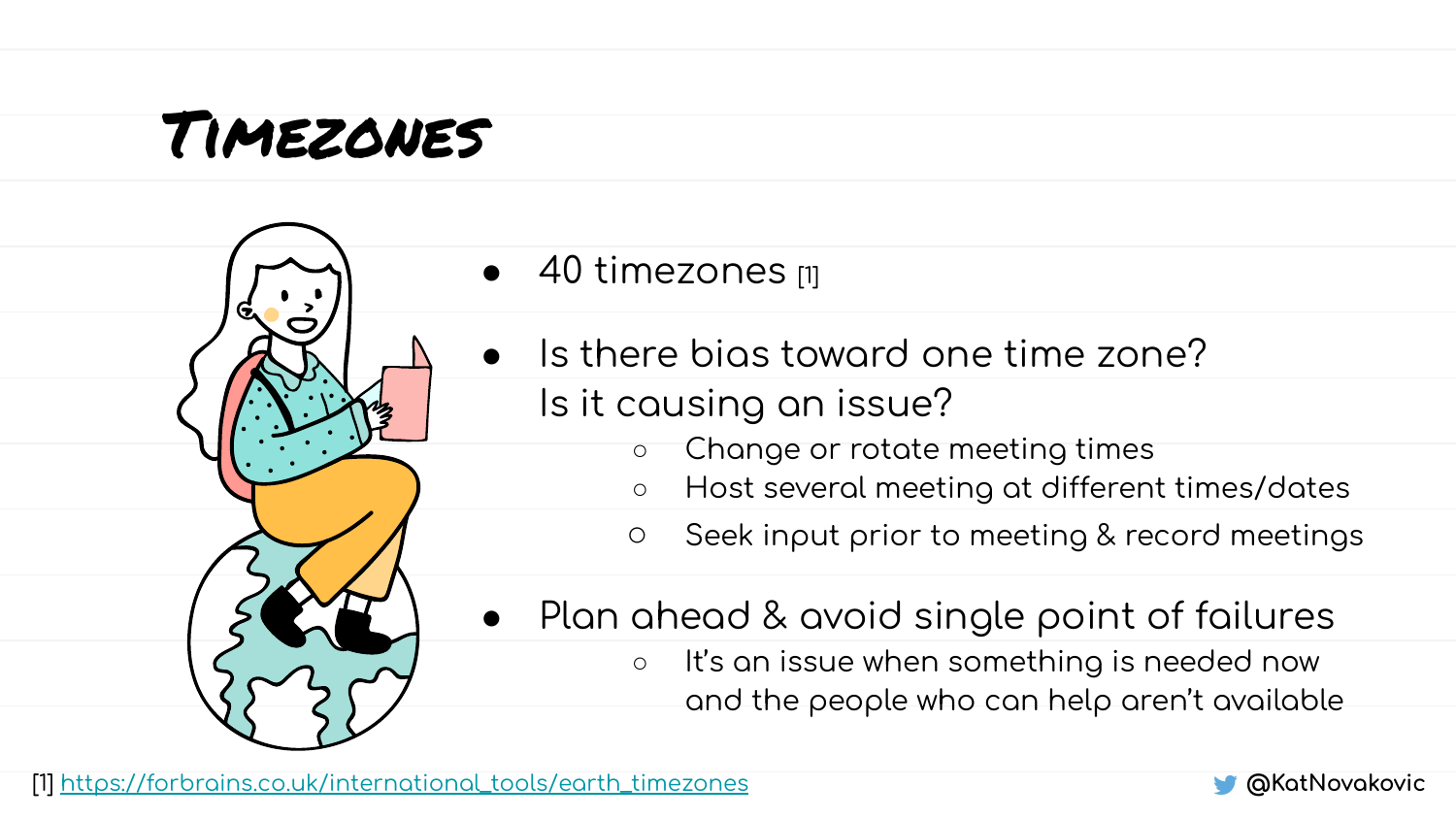#### Timezones



- 40 timezones [1]
- Is there bias toward one time zone? Is it causing an issue?
	- $\circ$  Change or rotate meeting times
	- Host several meeting at different times/dates
	- $\circ$  Seek input prior to meeting & record meetings
- $\bullet$  Plan ahead & avoid single point of failures
	- o It's an issue when something is needed now and the people who can help aren't available

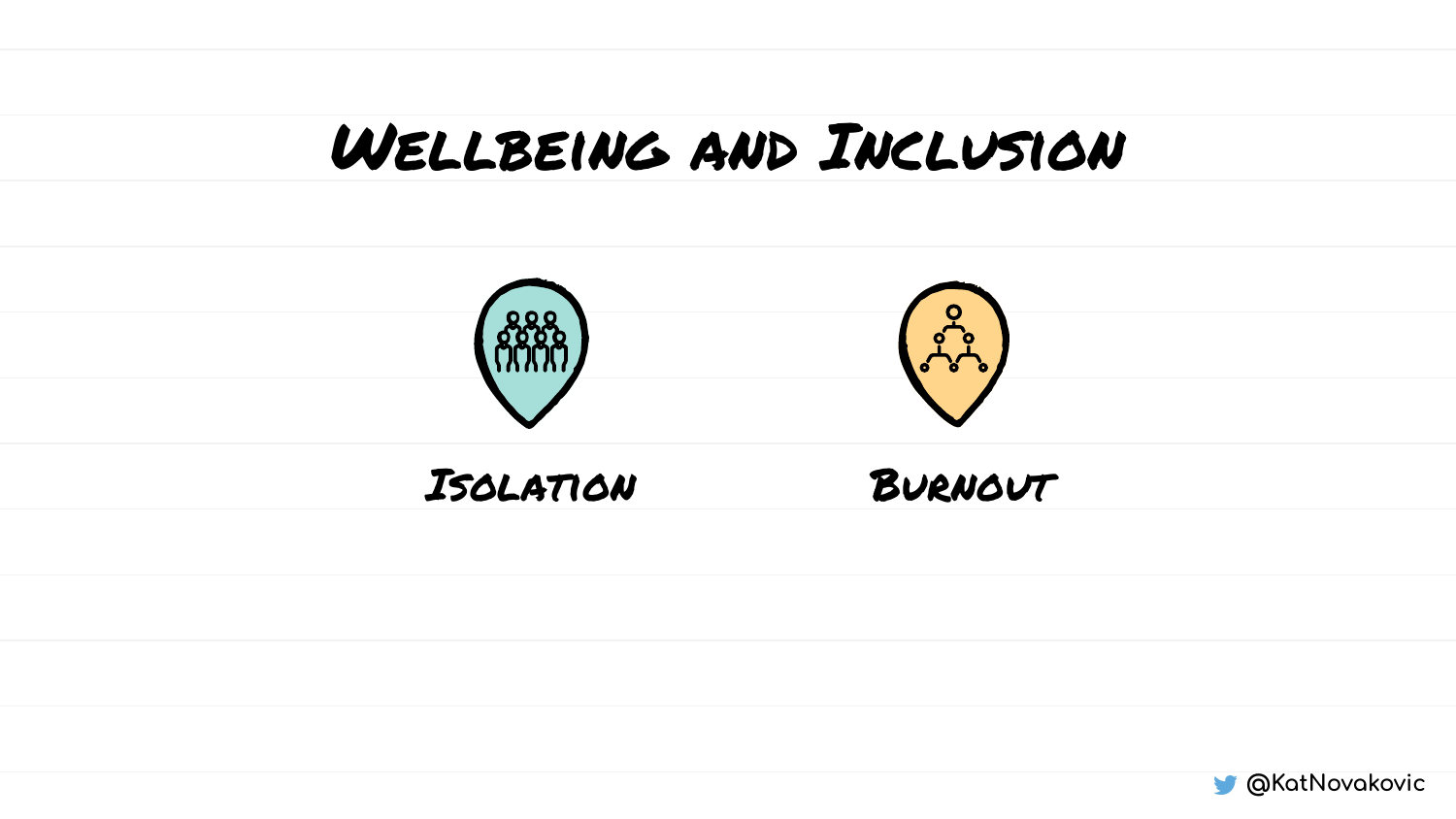#### Wellbeing and Inclusion



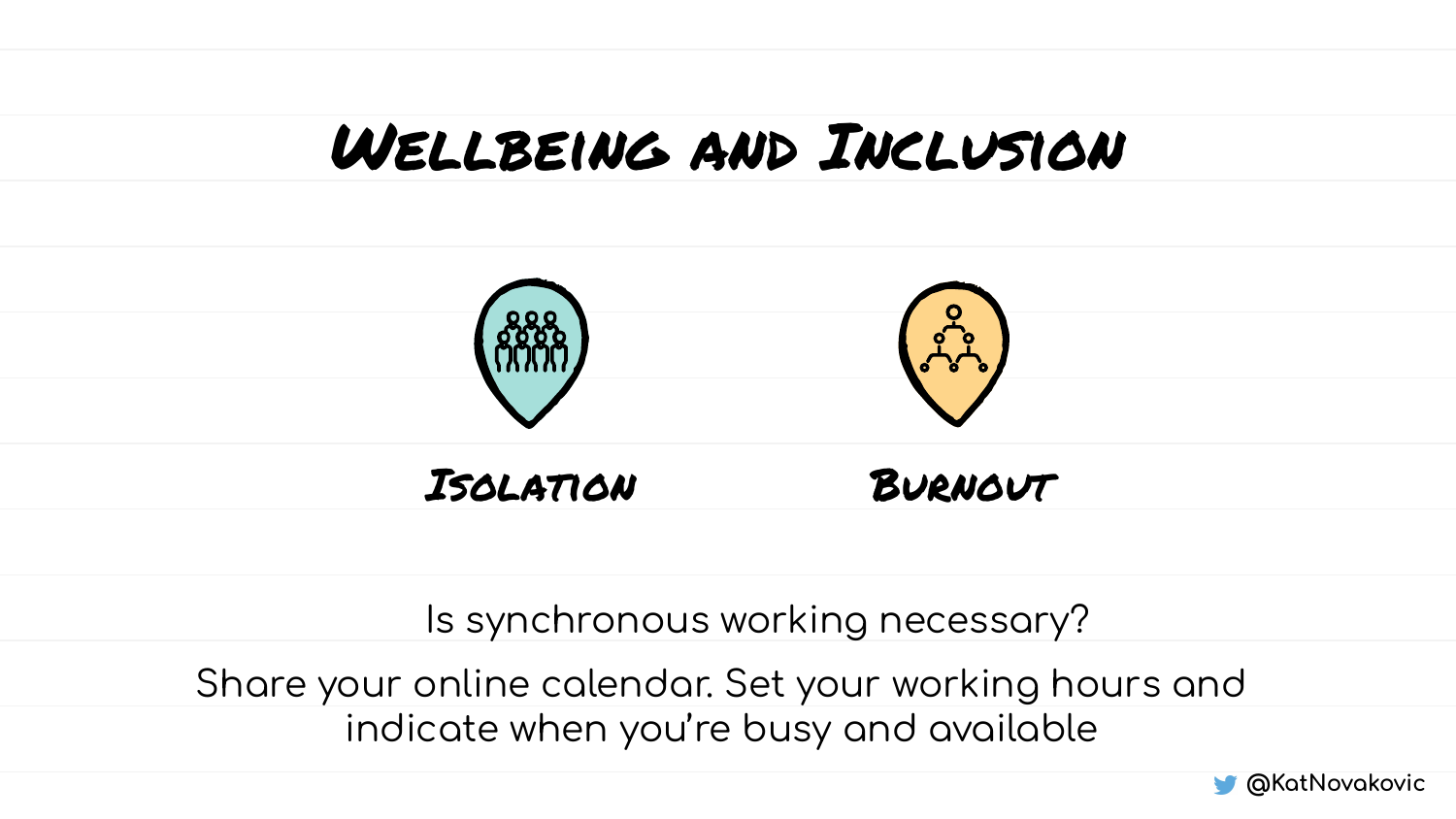#### Wellbeing and Inclusion



#### Is synchronous working necessary?

Share your online calendar. Set your working hours and indicate when you're busy and available

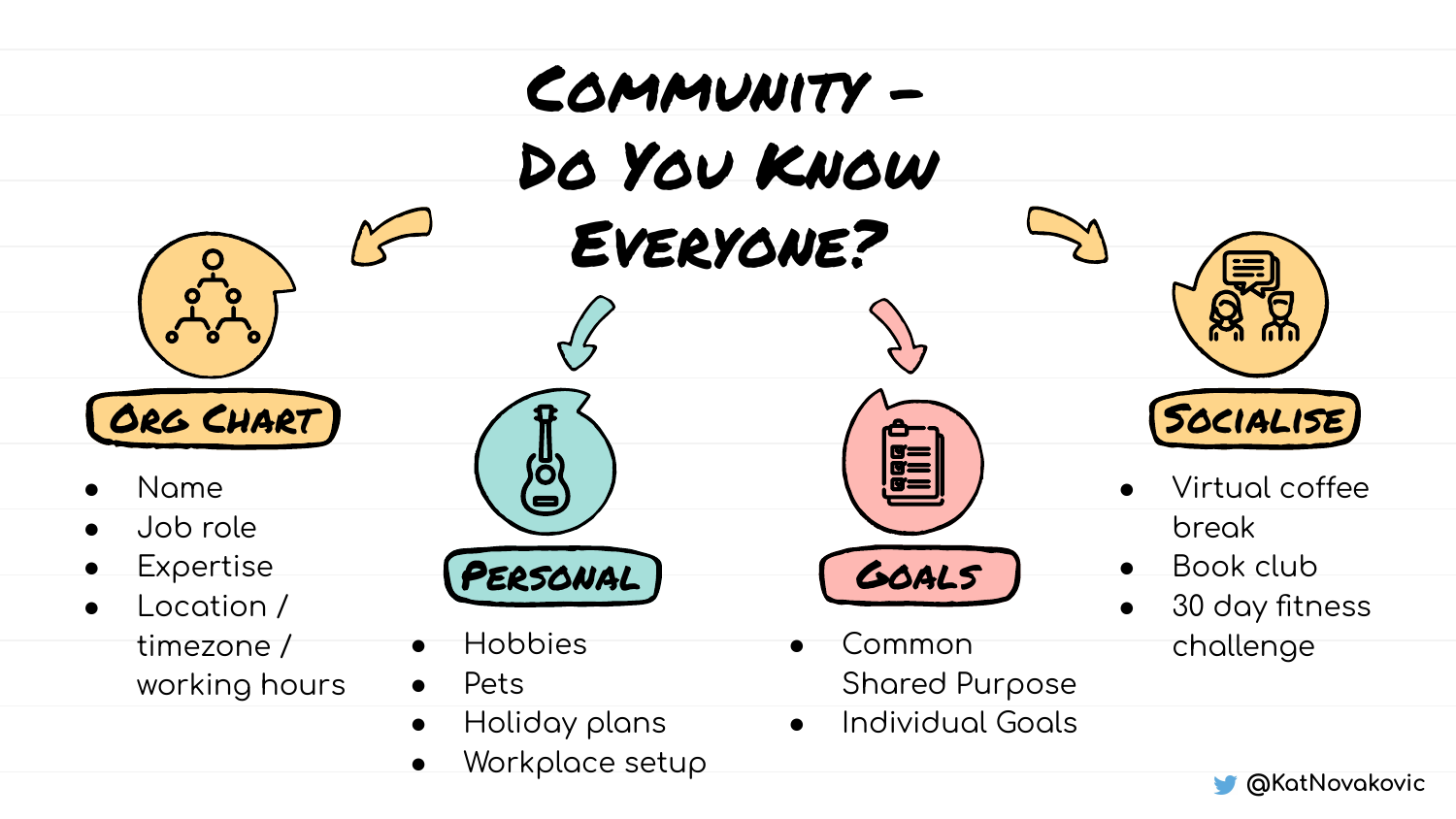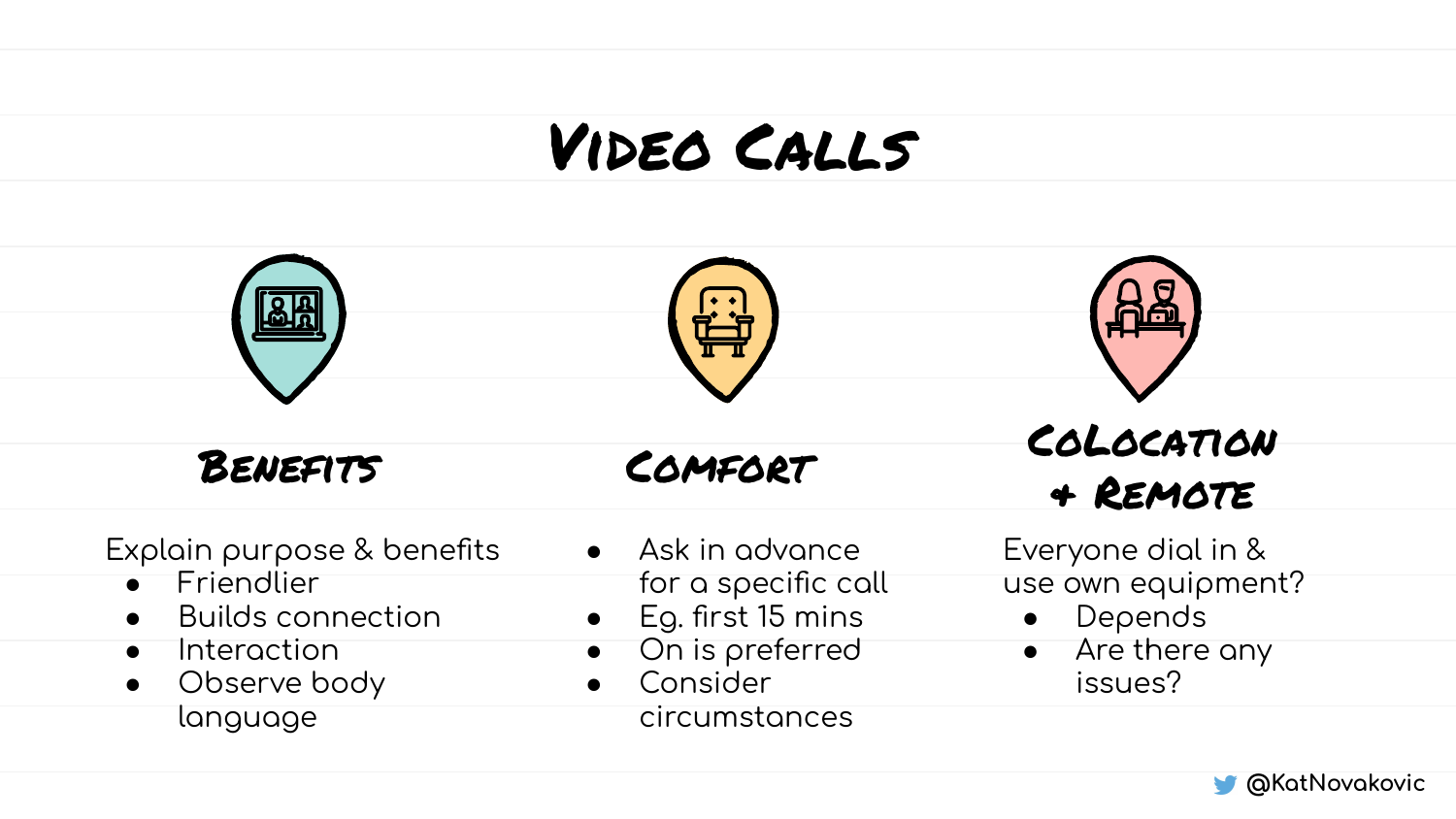#### VIDEO CALLS



Explain purpose & benefits

- Friendlier  $\bullet$
- **Builds connection**  $\bullet$
- Interaction  $\bullet$
- Observe body  $\bullet$ language
- $\bullet$  Ask in advance for a specific call
- Eg. first 15 mins  $\bullet$
- On is preferred  $\bullet$
- Consider  $\bullet$ circumstances

Everyone dial in & use own equipment?

- Depends  $\bullet$
- Are there any  $\bullet$ issues?

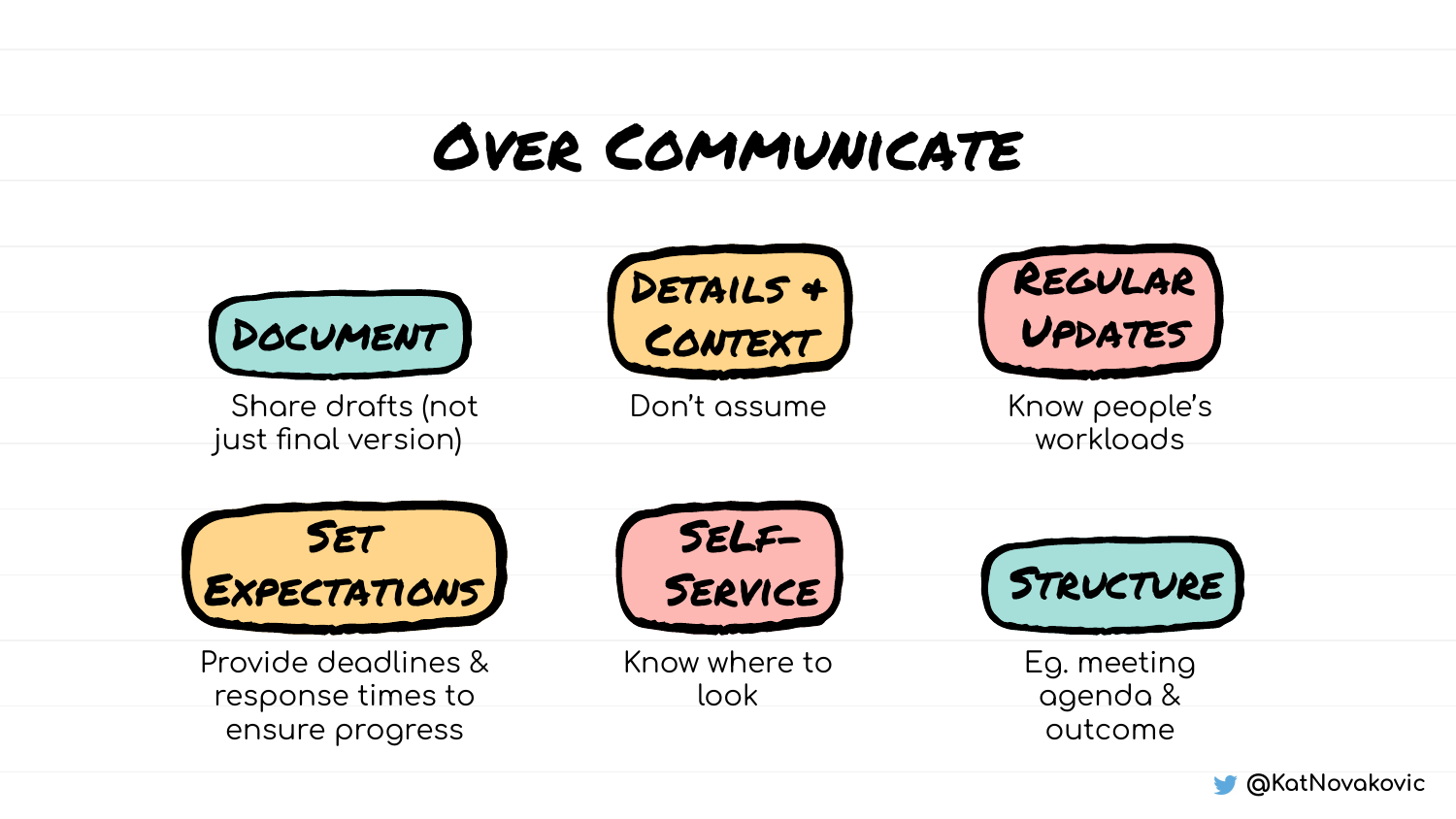### **OVER COMMUNICATE**



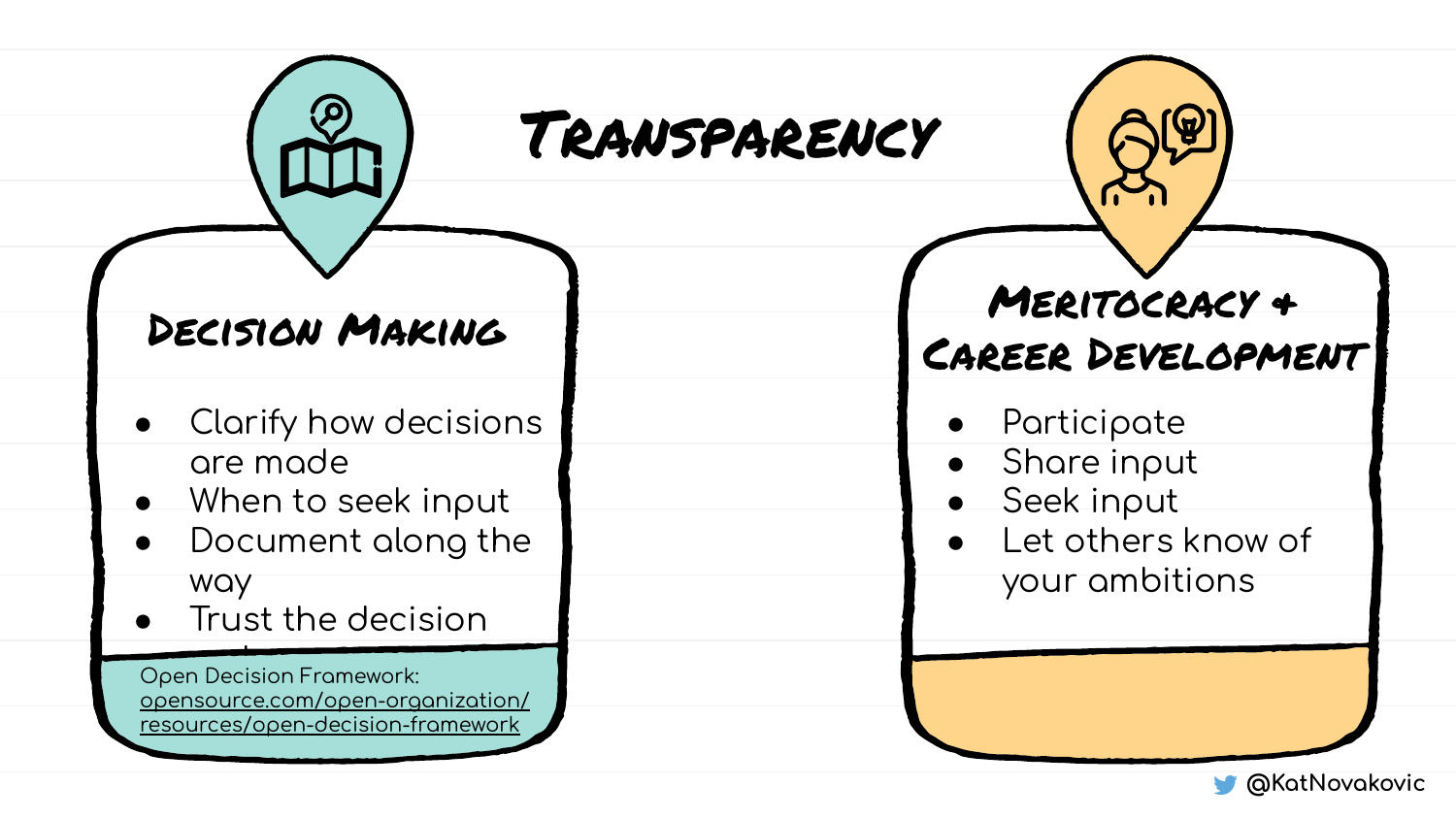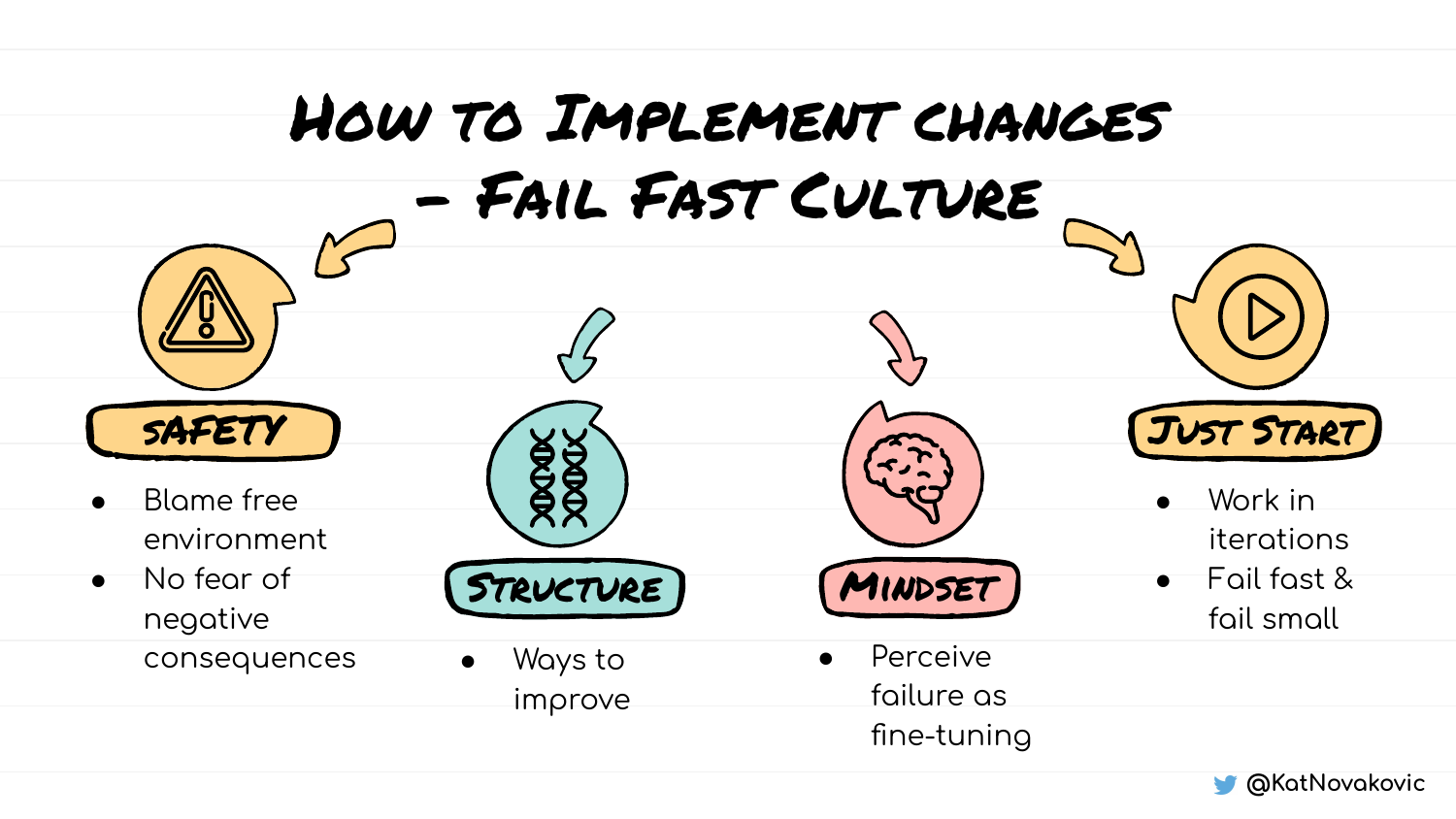